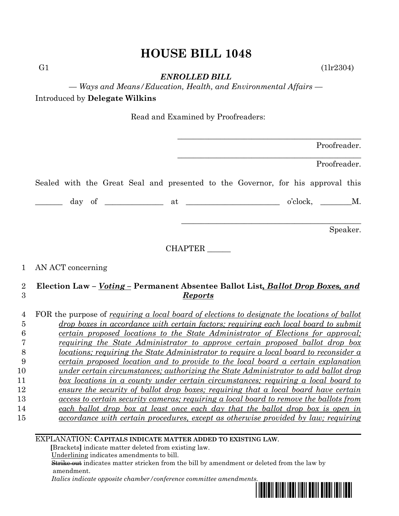# **HOUSE BILL 1048**

G1  $(11r2304)$ 

*ENROLLED BILL*

*— Ways and Means/Education, Health, and Environmental Affairs —*

Introduced by **Delegate Wilkins**

Read and Examined by Proofreaders:

|                                                                                                                  |                |  |  | Proofreader. |          |
|------------------------------------------------------------------------------------------------------------------|----------------|--|--|--------------|----------|
|                                                                                                                  |                |  |  | Proofreader. |          |
| Sealed with the Great Seal and presented to the Governor, for his approval this                                  |                |  |  |              |          |
| $\frac{1}{\text{day of}}$ of $\frac{1}{\text{day}}$ at $\frac{1}{\text{day}}$ o'clock, $\frac{1}{\text{day}}$ M. |                |  |  |              |          |
|                                                                                                                  |                |  |  |              | Speaker. |
|                                                                                                                  | <b>CHAPTER</b> |  |  |              |          |
| 1 AN ACT concerning                                                                                              |                |  |  |              |          |

# 2 **Election Law –** *Voting –* **Permanent Absentee Ballot List***, Ballot Drop Boxes, and*  3 *Reports*

| 4  | FOR the purpose of requiring a local board of elections to designate the locations of ballot  |
|----|-----------------------------------------------------------------------------------------------|
| G  | drop boxes in accordance with certain factors; requiring each local board to submit           |
|    | certain proposed locations to the State Administrator of Elections for approval;              |
|    | requiring the State Administrator to approve certain proposed ballot drop box                 |
| 8  | locations; requiring the State Administrator to require a local board to reconsider a         |
| 9  | <i>certain proposed location and to provide to the local board a certain explanation</i>      |
| 10 | under certain circumstances; authorizing the State Administrator to add ballot drop           |
| 11 | box locations in a county under certain circumstances; requiring a local board to             |
| 12 | ensure the security of ballot drop boxes; requiring that a local board have certain           |
| 13 | <u>access to certain security cameras; requiring a local board to remove the ballots from</u> |
| 14 | each ballot drop box at least once each day that the ballot drop box is open in               |
| 15 | accordance with certain procedures, except as otherwise provided by law; requiring            |
|    |                                                                                               |

## EXPLANATION: **CAPITALS INDICATE MATTER ADDED TO EXISTING LAW**.

 **[**Brackets**]** indicate matter deleted from existing law.

Underlining indicates amendments to bill.

 Strike out indicates matter stricken from the bill by amendment or deleted from the law by amendment.

 *Italics indicate opposite chamber/conference committee amendments.*

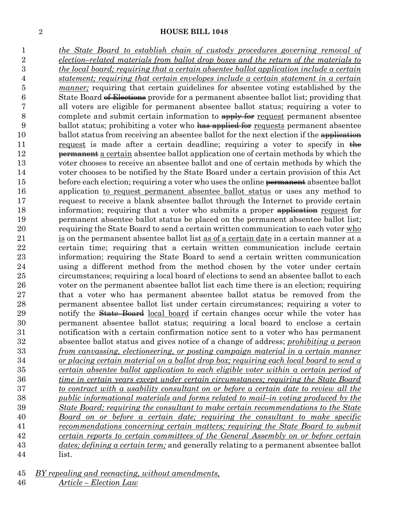#### **HOUSE BILL 1048**

 *the State Board to establish chain of custody procedures governing removal of election–related materials from ballot drop boxes and the return of the materials to the local board; requiring that a certain absentee ballot application include a certain statement; requiring that certain envelopes include a certain statement in a certain manner;* requiring that certain guidelines for absentee voting established by the State Board of Elections provide for a permanent absentee ballot list; providing that all voters are eligible for permanent absentee ballot status; requiring a voter to 8 complete and submit certain information to  $\frac{apoly}{apoly}$  request permanent absentee 9 ballot status; prohibiting a voter who has applied for requests permanent absentee 10 ballot status from receiving an absentee ballot for the next election if the application 11 request is made after a certain deadline; requiring a voter to specify in  $\frac{1}{\sqrt{1-\frac{1}{n}}}\int_{0}^{\pi}$ 12 permanent a certain absentee ballot application one of certain methods by which the voter chooses to receive an absentee ballot and one of certain methods by which the voter chooses to be notified by the State Board under a certain provision of this Act 15 before each election; requiring a voter who uses the online permanent absentee ballot application to request permanent absentee ballot status or uses any method to request to receive a blank absentee ballot through the Internet to provide certain 18 information; requiring that a voter who submits a proper application request for permanent absentee ballot status be placed on the permanent absentee ballot list; requiring the State Board to send a certain written communication to each voter who is on the permanent absentee ballot list as of a certain date in a certain manner at a certain time; requiring that a certain written communication include certain information; requiring the State Board to send a certain written communication using a different method from the method chosen by the voter under certain circumstances; requiring a local board of elections to send an absentee ballot to each voter on the permanent absentee ballot list each time there is an election; requiring that a voter who has permanent absentee ballot status be removed from the permanent absentee ballot list under certain circumstances; requiring a voter to 29 notify the **State Board** local board if certain changes occur while the voter has permanent absentee ballot status; requiring a local board to enclose a certain notification with a certain confirmation notice sent to a voter who has permanent absentee ballot status and gives notice of a change of address; *prohibiting a person from canvassing, electioneering, or posting campaign material in a certain manner or placing certain material on a ballot drop box; requiring each local board to send a certain absentee ballot application to each eligible voter within a certain period of time in certain years except under certain circumstances; requiring the State Board to contract with a usability consultant on or before a certain date to review all the public informational materials and forms related to mail–in voting produced by the State Board; requiring the consultant to make certain recommendations to the State Board on or before a certain date; requiring the consultant to make specific recommendations concerning certain matters; requiring the State Board to submit certain reports to certain committees of the General Assembly on or before certain dates; defining a certain term;* and generally relating to a permanent absentee ballot list.

*BY repealing and reenacting, without amendments,*

*Article – Election Law*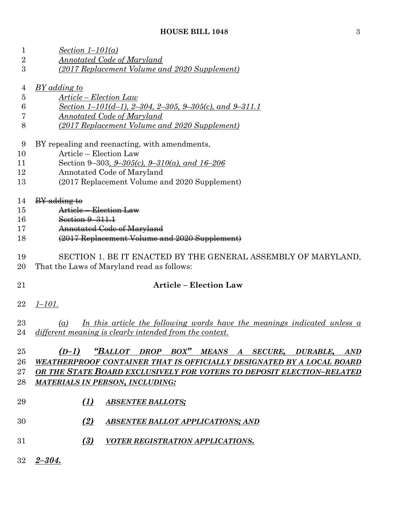| $\mathbf{1}$   | Section $1-101(a)$                                                                     |  |  |  |
|----------------|----------------------------------------------------------------------------------------|--|--|--|
| $\overline{2}$ | <b>Annotated Code of Maryland</b>                                                      |  |  |  |
| 3              | (2017 Replacement Volume and 2020 Supplement)                                          |  |  |  |
|                |                                                                                        |  |  |  |
| 4              | <u>BY adding to</u>                                                                    |  |  |  |
| $\bf 5$        | <u> Article – Election Law</u>                                                         |  |  |  |
| 6              | Section 1-101(d-1), 2-304, 2-305, 9-305(c), and 9-311.1                                |  |  |  |
| 7              | Annotated Code of Maryland                                                             |  |  |  |
| 8              | (2017 Replacement Volume and 2020 Supplement)                                          |  |  |  |
| 9              | BY repealing and reenacting, with amendments,                                          |  |  |  |
| 10             | Article - Election Law                                                                 |  |  |  |
| 11             | Section 9–303, $9-305(c)$ , $9-310(a)$ , and $16-206$                                  |  |  |  |
| 12             | Annotated Code of Maryland                                                             |  |  |  |
| 13             | (2017 Replacement Volume and 2020 Supplement)                                          |  |  |  |
| 14             | BY adding to                                                                           |  |  |  |
| 15             | Article - Election Law                                                                 |  |  |  |
| 16             | Section 9-311.1                                                                        |  |  |  |
| 17             | <b>Annotated Code of Maryland</b>                                                      |  |  |  |
| 18             | (2017 Replacement Volume and 2020 Supplement)                                          |  |  |  |
|                |                                                                                        |  |  |  |
| 19             | SECTION 1. BE IT ENACTED BY THE GENERAL ASSEMBLY OF MARYLAND,                          |  |  |  |
| 20             | That the Laws of Maryland read as follows:                                             |  |  |  |
| 21             | <b>Article - Election Law</b>                                                          |  |  |  |
|                |                                                                                        |  |  |  |
| 22             | $1 - 101.$                                                                             |  |  |  |
| 23             | <u>In this article the following words have the meanings indicated unless a</u><br>(a) |  |  |  |
|                | 24 different meaning is clearly intended from the context.                             |  |  |  |
|                |                                                                                        |  |  |  |
| 25             | (D-1) "BALLOT DROP BOX" MEANS A SECURE, DURABLE, AND                                   |  |  |  |
| 26             | WEATHERPROOF CONTAINER THAT IS OFFICIALLY DESIGNATED BY A LOCAL BOARD                  |  |  |  |
| $27\,$         | OR THE STATE BOARD EXCLUSIVELY FOR VOTERS TO DEPOSIT ELECTION-RELATED                  |  |  |  |
| 28             | <b>MATERIALS IN PERSON, INCLUDING:</b>                                                 |  |  |  |
|                |                                                                                        |  |  |  |
| 29             | (1)<br><b>ABSENTEE BALLOTS;</b>                                                        |  |  |  |
| 30             | (2)<br><b>ABSENTEE BALLOT APPLICATIONS; AND</b>                                        |  |  |  |
|                |                                                                                        |  |  |  |
| 31             | (3)<br><b>VOTER REGISTRATION APPLICATIONS.</b>                                         |  |  |  |
| 32             | $2 - 304.$                                                                             |  |  |  |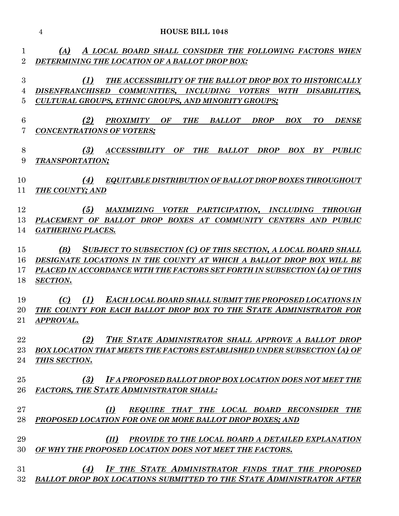|                     | $\overline{4}$<br><b>HOUSE BILL 1048</b>                                                                                             |
|---------------------|--------------------------------------------------------------------------------------------------------------------------------------|
|                     | A LOCAL BOARD SHALL CONSIDER THE FOLLOWING FACTORS WHEN<br>(A)                                                                       |
| 1<br>$\overline{2}$ | DETERMINING THE LOCATION OF A BALLOT DROP BOX:                                                                                       |
|                     |                                                                                                                                      |
| 3                   | (1)<br>THE ACCESSIBILITY OF THE BALLOT DROP BOX TO HISTORICALLY                                                                      |
| 4                   | DISENFRANCHISED COMMUNITIES, INCLUDING VOTERS<br>WITH DISABILITIES,                                                                  |
| 5                   | <b>CULTURAL GROUPS, ETHNIC GROUPS, AND MINORITY GROUPS;</b>                                                                          |
|                     |                                                                                                                                      |
| 6<br>7              | (2)<br><b>BALLOT</b><br>PROXIMITY OF<br><b>THE</b><br><b>DROP</b><br><b>BOX</b><br>TO<br><b>DENSE</b>                                |
|                     | <b>CONCENTRATIONS OF VOTERS;</b>                                                                                                     |
| 8                   | (3)<br><b>ACCESSIBILITY</b><br>BALLOT<br><b>OF</b><br><b>THE</b><br><b>DROP</b><br><b>BOX</b><br>BY<br><b>PUBLIC</b>                 |
| 9                   | TRANSPORTATION;                                                                                                                      |
|                     |                                                                                                                                      |
| 10                  | (4)<br>EQUITABLE DISTRIBUTION OF BALLOT DROP BOXES THROUGHOUT                                                                        |
| 11                  | THE COUNTY; AND                                                                                                                      |
| 12                  |                                                                                                                                      |
| 13                  | (5)<br>MAXIMIZING VOTER PARTICIPATION, INCLUDING<br><b>THROUGH</b><br>PLACEMENT OF BALLOT DROP BOXES AT COMMUNITY CENTERS AND PUBLIC |
| 14                  | <b>GATHERING PLACES.</b>                                                                                                             |
|                     |                                                                                                                                      |
| 15                  | SUBJECT TO SUBSECTION (C) OF THIS SECTION, A LOCAL BOARD SHALL<br>(B)                                                                |
| 16                  | DESIGNATE LOCATIONS IN THE COUNTY AT WHICH A BALLOT DROP BOX WILL BE                                                                 |
| 17                  | PLACED IN ACCORDANCE WITH THE FACTORS SET FORTH IN SUBSECTION (A) OF THIS                                                            |
| 18                  | <b>SECTION.</b>                                                                                                                      |
| 19                  | (C)<br>(1)                                                                                                                           |
| 20                  | <b>EACH LOCAL BOARD SHALL SUBMIT THE PROPOSED LOCATIONS IN</b><br>THE COUNTY FOR EACH BALLOT DROP BOX TO THE STATE ADMINISTRATOR FOR |
| 21                  | APPROVAL.                                                                                                                            |
|                     |                                                                                                                                      |
| 22                  | THE STATE ADMINISTRATOR SHALL APPROVE A BALLOT DROP<br>(2)                                                                           |
| 23                  | <b>BOX LOCATION THAT MEETS THE FACTORS ESTABLISHED UNDER SUBSECTION (A) OF</b>                                                       |
| 24                  | THIS SECTION.                                                                                                                        |
|                     |                                                                                                                                      |
| 25<br>26            | (3)<br>IF A PROPOSED BALLOT DROP BOX LOCATION DOES NOT MEET THE<br><b>FACTORS, THE STATE ADMINISTRATOR SHALL:</b>                    |
|                     |                                                                                                                                      |
| 27                  | REQUIRE THAT THE LOCAL BOARD RECONSIDER THE<br>(I)                                                                                   |
| 28                  | PROPOSED LOCATION FOR ONE OR MORE BALLOT DROP BOXES; AND                                                                             |
|                     |                                                                                                                                      |
| 29                  | (II)<br>PROVIDE TO THE LOCAL BOARD A DETAILED EXPLANATION                                                                            |
| 30                  | OF WHY THE PROPOSED LOCATION DOES NOT MEET THE FACTORS.                                                                              |
|                     |                                                                                                                                      |
| 31<br>32            | IF THE STATE ADMINISTRATOR FINDS THAT THE PROPOSED<br>(4)<br>BALLOT DROP BOX LOCATIONS SUBMITTED TO THE STATE ADMINISTRATOR AFTER    |
|                     |                                                                                                                                      |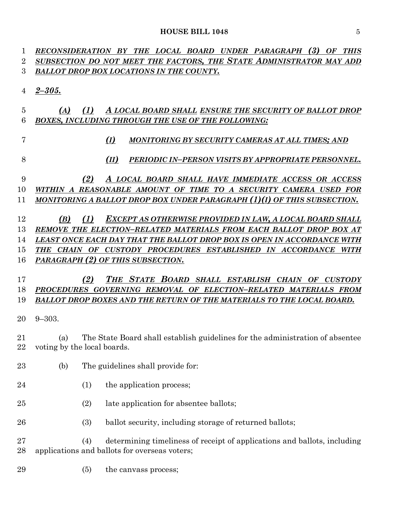*RECONSIDERATION BY THE LOCAL BOARD UNDER PARAGRAPH (3) OF THIS SUBSECTION DO NOT MEET THE FACTORS, THE STATE ADMINISTRATOR MAY ADD BALLOT DROP BOX LOCATIONS IN THE COUNTY. 2–305. (A) (1) A LOCAL BOARD SHALL ENSURE THE SECURITY OF BALLOT DROP BOXES, INCLUDING THROUGH THE USE OF THE FOLLOWING: (I) MONITORING BY SECURITY CAMERAS AT ALL TIMES; AND (II) PERIODIC IN–PERSON VISITS BY APPROPRIATE PERSONNEL. (2) A LOCAL BOARD SHALL HAVE IMMEDIATE ACCESS OR ACCESS WITHIN A REASONABLE AMOUNT OF TIME TO A SECURITY CAMERA USED FOR MONITORING A BALLOT DROP BOX UNDER PARAGRAPH (1)(I) OF THIS SUBSECTION. (B) (1) EXCEPT AS OTHERWISE PROVIDED IN LAW, A LOCAL BOARD SHALL REMOVE THE ELECTION–RELATED MATERIALS FROM EACH BALLOT DROP BOX AT LEAST ONCE EACH DAY THAT THE BALLOT DROP BOX IS OPEN IN ACCORDANCE WITH THE CHAIN OF CUSTODY PROCEDURES ESTABLISHED IN ACCORDANCE WITH PARAGRAPH (2) OF THIS SUBSECTION. (2) THE STATE BOARD SHALL ESTABLISH CHAIN OF CUSTODY PROCEDURES GOVERNING REMOVAL OF ELECTION–RELATED MATERIALS FROM BALLOT DROP BOXES AND THE RETURN OF THE MATERIALS TO THE LOCAL BOARD.* 9–303. (a) The State Board shall establish guidelines for the administration of absentee voting by the local boards. (b) The guidelines shall provide for: 24 (1) the application process; (2) late application for absentee ballots; 26 (3) ballot security, including storage of returned ballots; (4) determining timeliness of receipt of applications and ballots, including applications and ballots for overseas voters; (5) the canvass process;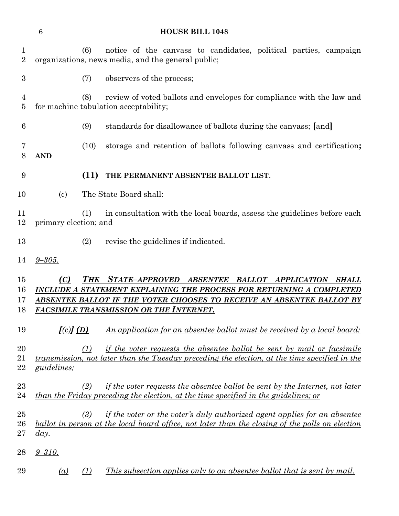(6) notice of the canvass to candidates, political parties, campaign organizations, news media, and the general public; (7) observers of the process; (8) review of voted ballots and envelopes for compliance with the law and for machine tabulation acceptability; (9) standards for disallowance of ballots during the canvass; **[**and**]** (10) storage and retention of ballots following canvass and certification**; AND (11) THE PERMANENT ABSENTEE BALLOT LIST**. (c) The State Board shall: (1) in consultation with the local boards, assess the guidelines before each primary election; and (2) revise the guidelines if indicated. *9–305. (C) THE STATE–APPROVED ABSENTEE BALLOT APPLICATION SHALL INCLUDE A STATEMENT EXPLAINING THE PROCESS FOR RETURNING A COMPLETED ABSENTEE BALLOT IF THE VOTER CHOOSES TO RECEIVE AN ABSENTEE BALLOT BY FACSIMILE TRANSMISSION OR THE INTERNET. [(c)] (D) An application for an absentee ballot must be received by a local board:* 20 (1) if the voter requests the absentee ballot be sent by mail or facsimile *transmission, not later than the Tuesday preceding the election, at the time specified in the guidelines; (2) if the voter requests the absentee ballot be sent by the Internet, not later than the Friday preceding the election, at the time specified in the guidelines; or (3) if the voter or the voter's duly authorized agent applies for an absentee ballot in person at the local board office, not later than the closing of the polls on election day. 9–310. (a) (1) This subsection applies only to an absentee ballot that is sent by mail.*

**HOUSE BILL 1048**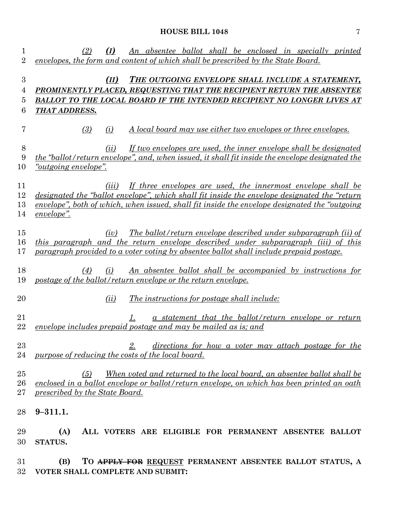| 1<br>$\overline{2}$  | An absentee ballot shall be enclosed in specially printed<br>(I)<br>(2)<br>envelopes, the form and content of which shall be prescribed by the State Board.                                                                                                                            |
|----------------------|----------------------------------------------------------------------------------------------------------------------------------------------------------------------------------------------------------------------------------------------------------------------------------------|
| 3<br>4<br>5<br>6     | THE OUTGOING ENVELOPE SHALL INCLUDE A STATEMENT,<br>(II)<br>PROMINENTLY PLACED, REQUESTING THAT THE RECIPIENT RETURN THE ABSENTEE<br>BALLOT TO THE LOCAL BOARD IF THE INTENDED RECIPIENT NO LONGER LIVES AT<br>THAT ADDRESS.                                                           |
| 7                    | (3)<br>A local board may use either two envelopes or three envelopes.<br>(i)                                                                                                                                                                                                           |
| 8<br>9<br>10         | If two envelopes are used, the inner envelope shall be designated<br>(ii)<br>the "ballot/return envelope", and, when issued, it shall fit inside the envelope designated the<br>" <i>outgoing envelope</i> ".                                                                          |
| 11<br>12<br>13<br>14 | If three envelopes are used, the innermost envelope shall be<br>(iii)<br>designated the "ballot envelope", which shall fit inside the envelope designated the "return"<br>envelope", both of which, when issued, shall fit inside the envelope designated the "outgoing"<br>envelope". |
| 15<br>16<br>17       | The ballot/return envelope described under subparagraph (ii) of<br>(iv)<br>this paragraph and the return envelope described under subparagraph (iii) of this<br>paragraph provided to a voter voting by absentee ballot shall include prepaid postage.                                 |
| 18<br>19             | An absentee ballot shall be accompanied by instructions for<br>(4)<br>(i)<br>postage of the ballot/return envelope or the return envelope.                                                                                                                                             |
| 20                   | <u>The instructions for postage shall include:</u><br>(ii)                                                                                                                                                                                                                             |
| 21<br>22             | <u>a statement that the ballot/return envelope or return</u><br>envelope includes prepaid postage and may be mailed as is; and                                                                                                                                                         |
| 23<br>24             | directions for how a voter may attach postage for the<br>2.<br>purpose of reducing the costs of the local board.                                                                                                                                                                       |
| 25<br>26<br>27       | <u>When voted and returned to the local board, an absentee ballot shall be</u><br>(5)<br>enclosed in a ballot envelope or ballot/return envelope, on which has been printed an oath<br>prescribed by the State Board.                                                                  |
| 28                   | $9 - 311.1.$                                                                                                                                                                                                                                                                           |
| 29<br>30             | ALL VOTERS ARE ELIGIBLE FOR PERMANENT ABSENTEE BALLOT<br>(A)<br>STATUS.                                                                                                                                                                                                                |
| 31<br>32             | TO APPLY FOR REQUEST PERMANENT ABSENTEE BALLOT STATUS, A<br>(B)<br>VOTER SHALL COMPLETE AND SUBMIT:                                                                                                                                                                                    |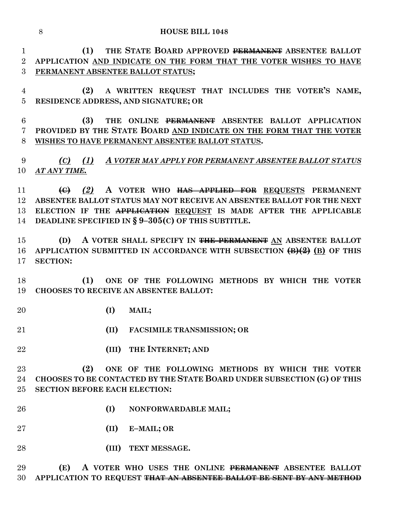**HOUSE BILL 1048**

 **(1) THE STATE BOARD APPROVED PERMANENT ABSENTEE BALLOT APPLICATION AND INDICATE ON THE FORM THAT THE VOTER WISHES TO HAVE PERMANENT ABSENTEE BALLOT STATUS;**

 **(2) A WRITTEN REQUEST THAT INCLUDES THE VOTER'S NAME, RESIDENCE ADDRESS, AND SIGNATURE; OR**

 **(3) THE ONLINE PERMANENT ABSENTEE BALLOT APPLICATION PROVIDED BY THE STATE BOARD AND INDICATE ON THE FORM THAT THE VOTER WISHES TO HAVE PERMANENT ABSENTEE BALLOT STATUS.**

 *(C) (1) A VOTER MAY APPLY FOR PERMANENT ABSENTEE BALLOT STATUS AT ANY TIME.*

 **(C)** *(2)* **A VOTER WHO HAS APPLIED FOR REQUESTS PERMANENT ABSENTEE BALLOT STATUS MAY NOT RECEIVE AN ABSENTEE BALLOT FOR THE NEXT ELECTION IF THE APPLICATION REQUEST IS MADE AFTER THE APPLICABLE DEADLINE SPECIFIED IN § 9–305(C) OF THIS SUBTITLE.**

 **(D) A VOTER SHALL SPECIFY IN THE PERMANENT AN ABSENTEE BALLOT APPLICATION SUBMITTED IN ACCORDANCE WITH SUBSECTION (B)(2) (B) OF THIS SECTION:**

 **(1) ONE OF THE FOLLOWING METHODS BY WHICH THE VOTER CHOOSES TO RECEIVE AN ABSENTEE BALLOT:**

- **(I) MAIL;**
- **(II) FACSIMILE TRANSMISSION; OR**
- **(III) THE INTERNET; AND**
- **(2) ONE OF THE FOLLOWING METHODS BY WHICH THE VOTER CHOOSES TO BE CONTACTED BY THE STATE BOARD UNDER SUBSECTION (G) OF THIS SECTION BEFORE EACH ELECTION:**
- **(I) NONFORWARDABLE MAIL;**
- **(II) E–MAIL; OR**
- **(III) TEXT MESSAGE.**

 **(E) A VOTER WHO USES THE ONLINE PERMANENT ABSENTEE BALLOT APPLICATION TO REQUEST THAT AN ABSENTEE BALLOT BE SENT BY ANY METHOD**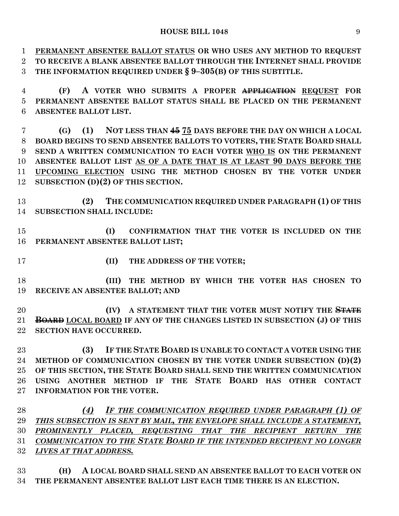**PERMANENT ABSENTEE BALLOT STATUS OR WHO USES ANY METHOD TO REQUEST TO RECEIVE A BLANK ABSENTEE BALLOT THROUGH THE INTERNET SHALL PROVIDE THE INFORMATION REQUIRED UNDER § 9–305(B) OF THIS SUBTITLE.**

 **(F) A VOTER WHO SUBMITS A PROPER APPLICATION REQUEST FOR PERMANENT ABSENTEE BALLOT STATUS SHALL BE PLACED ON THE PERMANENT ABSENTEE BALLOT LIST.**

 **(G) (1) NOT LESS THAN 45 75 DAYS BEFORE THE DAY ON WHICH A LOCAL BOARD BEGINS TO SEND ABSENTEE BALLOTS TO VOTERS, THE STATE BOARD SHALL SEND A WRITTEN COMMUNICATION TO EACH VOTER WHO IS ON THE PERMANENT ABSENTEE BALLOT LIST AS OF A DATE THAT IS AT LEAST 90 DAYS BEFORE THE UPCOMING ELECTION USING THE METHOD CHOSEN BY THE VOTER UNDER SUBSECTION (D)(2) OF THIS SECTION.**

 **(2) THE COMMUNICATION REQUIRED UNDER PARAGRAPH (1) OF THIS SUBSECTION SHALL INCLUDE:**

 **(I) CONFIRMATION THAT THE VOTER IS INCLUDED ON THE PERMANENT ABSENTEE BALLOT LIST;**

**(II) THE ADDRESS OF THE VOTER;**

 **(III) THE METHOD BY WHICH THE VOTER HAS CHOSEN TO RECEIVE AN ABSENTEE BALLOT; AND**

 **(IV) A STATEMENT THAT THE VOTER MUST NOTIFY THE STATE BOARD LOCAL BOARD IF ANY OF THE CHANGES LISTED IN SUBSECTION (J) OF THIS SECTION HAVE OCCURRED.**

 **(3) IF THE STATE BOARD IS UNABLE TO CONTACT A VOTER USING THE METHOD OF COMMUNICATION CHOSEN BY THE VOTER UNDER SUBSECTION (D)(2) OF THIS SECTION, THE STATE BOARD SHALL SEND THE WRITTEN COMMUNICATION USING ANOTHER METHOD IF THE STATE BOARD HAS OTHER CONTACT INFORMATION FOR THE VOTER.**

 *(4) IF THE COMMUNICATION REQUIRED UNDER PARAGRAPH (1) OF THIS SUBSECTION IS SENT BY MAIL, THE ENVELOPE SHALL INCLUDE A STATEMENT, PROMINENTLY PLACED, REQUESTING THAT THE RECIPIENT RETURN THE COMMUNICATION TO THE STATE BOARD IF THE INTENDED RECIPIENT NO LONGER LIVES AT THAT ADDRESS.*

 **(H) A LOCAL BOARD SHALL SEND AN ABSENTEE BALLOT TO EACH VOTER ON THE PERMANENT ABSENTEE BALLOT LIST EACH TIME THERE IS AN ELECTION.**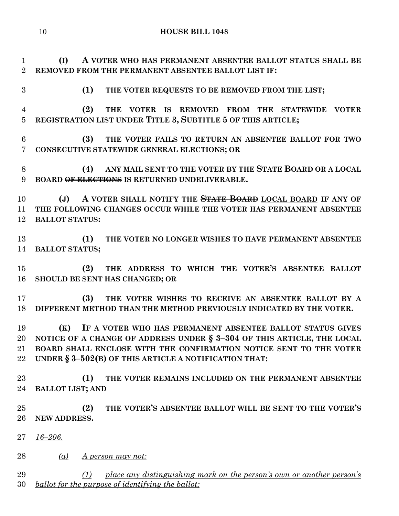**(I) A VOTER WHO HAS PERMANENT ABSENTEE BALLOT STATUS SHALL BE REMOVED FROM THE PERMANENT ABSENTEE BALLOT LIST IF:**

**(1) THE VOTER REQUESTS TO BE REMOVED FROM THE LIST;**

 **(2) THE VOTER IS REMOVED FROM THE STATEWIDE VOTER REGISTRATION LIST UNDER TITLE 3, SUBTITLE 5 OF THIS ARTICLE;**

 **(3) THE VOTER FAILS TO RETURN AN ABSENTEE BALLOT FOR TWO CONSECUTIVE STATEWIDE GENERAL ELECTIONS; OR**

 **(4) ANY MAIL SENT TO THE VOTER BY THE STATE BOARD OR A LOCAL BOARD OF ELECTIONS IS RETURNED UNDELIVERABLE.**

 **(J) A VOTER SHALL NOTIFY THE STATE BOARD LOCAL BOARD IF ANY OF THE FOLLOWING CHANGES OCCUR WHILE THE VOTER HAS PERMANENT ABSENTEE BALLOT STATUS:**

 **(1) THE VOTER NO LONGER WISHES TO HAVE PERMANENT ABSENTEE BALLOT STATUS;**

 **(2) THE ADDRESS TO WHICH THE VOTER'S ABSENTEE BALLOT SHOULD BE SENT HAS CHANGED; OR**

 **(3) THE VOTER WISHES TO RECEIVE AN ABSENTEE BALLOT BY A DIFFERENT METHOD THAN THE METHOD PREVIOUSLY INDICATED BY THE VOTER.**

 **(K) IF A VOTER WHO HAS PERMANENT ABSENTEE BALLOT STATUS GIVES NOTICE OF A CHANGE OF ADDRESS UNDER § 3–304 OF THIS ARTICLE, THE LOCAL BOARD SHALL ENCLOSE WITH THE CONFIRMATION NOTICE SENT TO THE VOTER UNDER § 3–502(B) OF THIS ARTICLE A NOTIFICATION THAT:**

 **(1) THE VOTER REMAINS INCLUDED ON THE PERMANENT ABSENTEE BALLOT LIST; AND**

 **(2) THE VOTER'S ABSENTEE BALLOT WILL BE SENT TO THE VOTER'S NEW ADDRESS.**

*16–206.*

*(a) A person may not:*

 *(1) place any distinguishing mark on the person's own or another person's ballot for the purpose of identifying the ballot;*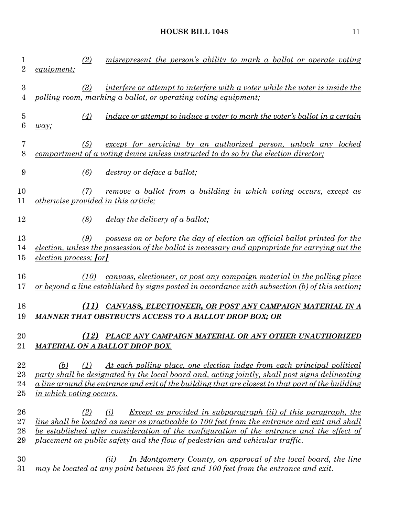| $\mathbf 1$<br>$\overline{2}$ | (2)<br><i>equipment;</i>                   | misrepresent the person's ability to mark a ballot or operate voting                                                                                                                                                                                                                                                                                       |
|-------------------------------|--------------------------------------------|------------------------------------------------------------------------------------------------------------------------------------------------------------------------------------------------------------------------------------------------------------------------------------------------------------------------------------------------------------|
| $\boldsymbol{3}$<br>4         | (3)                                        | interfere or attempt to interfere with a voter while the voter is inside the<br>polling room, marking a ballot, or operating voting equipment;                                                                                                                                                                                                             |
| 5<br>6                        | (4)<br>way;                                | induce or attempt to induce a voter to mark the voter's ballot in a certain                                                                                                                                                                                                                                                                                |
| 7<br>8                        | (5)                                        | except for servicing by an authorized person, unlock any locked<br>compartment of a voting device unless instructed to do so by the election director;                                                                                                                                                                                                     |
| 9                             | (6)                                        | <i>destroy or deface a ballot;</i>                                                                                                                                                                                                                                                                                                                         |
| 10<br>11                      | (7)<br>otherwise provided in this article; | <u>remove a ballot from a building in which voting occurs, except as</u>                                                                                                                                                                                                                                                                                   |
| 12                            | (8)                                        | <u>delay the delivery of a ballot;</u>                                                                                                                                                                                                                                                                                                                     |
| 13<br>14<br>15                | (9)<br><i>election process; [or]</i>       | possess on or before the day of election an official ballot printed for the<br>election, unless the possession of the ballot is necessary and appropriate for carrying out the                                                                                                                                                                             |
| 16<br>17                      | (10)                                       | canvass, electioneer, or post any campaign material in the polling place<br>or beyond a line established by signs posted in accordance with subsection (b) of this section;                                                                                                                                                                                |
| 18<br>19                      | (11)                                       | CANVASS, ELECTIONEER, OR POST ANY CAMPAIGN MATERIAL IN A<br>MANNER THAT OBSTRUCTS ACCESS TO A BALLOT DROP BOX; OR                                                                                                                                                                                                                                          |
| 20<br>21                      |                                            | (12) PLACE ANY CAMPAIGN MATERIAL OR ANY OTHER UNAUTHORIZED<br>MATERIAL ON A BALLOT DROP BOX.                                                                                                                                                                                                                                                               |
| 22<br>23<br>24<br>$25\,$      | (b)<br>(1)<br>in which voting occurs.      | At each polling place, one election judge from each principal political<br>party shall be designated by the local board and, acting jointly, shall post signs delineating<br>a line around the entrance and exit of the building that are closest to that part of the building                                                                             |
| 26<br>$27\,$<br>28<br>29      | (2)                                        | Except as provided in subparagraph (ii) of this paragraph, the<br>(i)<br><u>line shall be located as near as practicable to 100 feet from the entrance and exit and shall</u><br>be established after consideration of the configuration of the entrance and the effect of<br>placement on public safety and the flow of pedestrian and vehicular traffic. |
| 30<br>$31\,$                  |                                            | (ii)<br>In Montgomery County, on approval of the local board, the line<br>may be located at any point between 25 feet and 100 feet from the entrance and exit.                                                                                                                                                                                             |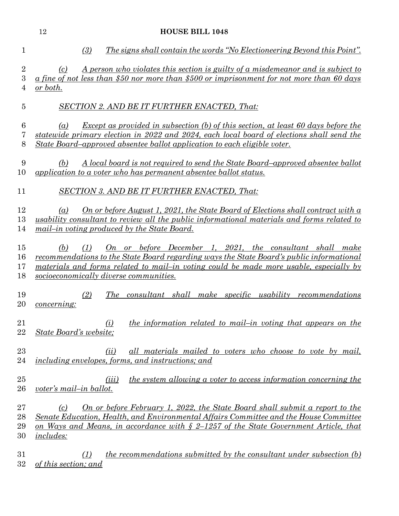|                            | 12                      | <b>HOUSE BILL 1048</b>                                                                                                                                                                                                                                                                                       |
|----------------------------|-------------------------|--------------------------------------------------------------------------------------------------------------------------------------------------------------------------------------------------------------------------------------------------------------------------------------------------------------|
| 1                          |                         | (3)<br><u>The signs shall contain the words "No Electioneering Beyond this Point".</u>                                                                                                                                                                                                                       |
| $\boldsymbol{2}$<br>3<br>4 | (c)<br><u>or both.</u>  | <u>A person who violates this section is guilty of a misdemeanor and is subject to</u><br>a fine of not less than \$50 nor more than \$500 or imprisonment for not more than 60 days                                                                                                                         |
| $\overline{5}$             |                         | <b>SECTION 2. AND BE IT FURTHER ENACTED, That:</b>                                                                                                                                                                                                                                                           |
| $6\phantom{.}6$<br>7<br>8  | $\left( a\right)$       | <b>Except as provided in subsection (b) of this section, at least 60 days before the</b><br>statewide primary election in 2022 and 2024, each local board of elections shall send the<br>State Board-approved absentee ballot application to each eligible voter.                                            |
| 9<br>10                    | (b)                     | A local board is not required to send the State Board-approved absentee ballot<br>application to a voter who has permanent absentee ballot status.                                                                                                                                                           |
| 11                         |                         | <b>SECTION 3. AND BE IT FURTHER ENACTED, That:</b>                                                                                                                                                                                                                                                           |
| 12<br>13<br>14             | (a)                     | On or before August 1, 2021, the State Board of Elections shall contract with a<br>usability consultant to review all the public informational materials and forms related to<br>mail-in voting produced by the State Board.                                                                                 |
| 15<br>16<br>17<br>18       | (b)                     | $\Omega$ or before December 1, 2021, the consultant shall make<br>(1)<br><u>recommendations to the State Board regarding ways the State Board's public informational</u><br>materials and forms related to mail-in voting could be made more usable, especially by<br>socioeconomically diverse communities. |
| 19<br>20                   | concerning:             | (2)<br>The consultant shall make specific usability recommendations                                                                                                                                                                                                                                          |
| 21<br>22                   |                         | <i>the information related to mail-in voting that appears on the</i><br>$\Omega$<br>State Board's website;                                                                                                                                                                                                   |
| 23<br>24                   |                         | all materials mailed to voters who choose to vote by mail,<br>(ii)<br>including envelopes, forms, and instructions; and                                                                                                                                                                                      |
| 25<br>26                   |                         | <i>the system allowing a voter to access information concerning the</i><br>(iii)<br>voter's mail-in ballot.                                                                                                                                                                                                  |
| 27<br>28<br>29<br>30       | (c)<br><i>includes:</i> | On or before February 1, 2022, the State Board shall submit a report to the<br>Senate Education, Health, and Environmental Affairs Committee and the House Committee<br>on Ways and Means, in accordance with $\S$ 2-1257 of the State Government Article, that                                              |
| 31<br>32                   | of this section; and    | <i>the recommendations submitted by the consultant under subsection (b)</i><br>(1)                                                                                                                                                                                                                           |